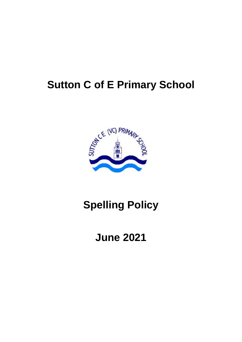# **Sutton C of E Primary School**



# **Spelling Policy**

# **June 2021**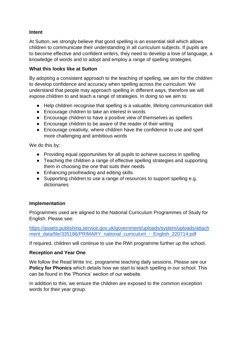#### **Intent**

At Sutton, we strongly believe that good spelling is an essential skill which allows children to communicate their understanding in all curriculum subjects. If pupils are to become effective and confident writers, they need to develop a love of language, a knowledge of words and to adopt and employ a range of spelling strategies.

#### **What this looks like at Sutton**

By adopting a consistent approach to the teaching of spelling, we aim for the children to develop confidence and accuracy when spelling across the curriculum. We understand that people may approach spelling in different ways, therefore we will expose children to and teach a range of strategies. In doing so we aim to:

- Help children recognise that spelling is a valuable, lifelong communication skill
- Encourage children to take an interest in words
- Encourage children to have a positive view of themselves as spellers
- Encourage children to be aware of the reader of their writing
- Encourage creativity, where children have the confidence to use and spell more challenging and ambitious words

We do this by:

- Providing equal opportunities for all pupils to achieve success in spelling
- Teaching the children a range of effective spelling strategies and supporting them in choosing the one that suits their needs
- Enhancing proofreading and editing skills
- Supporting children to use a range of resources to support spelling e.g. dictionaries

#### **Implementation**

Programmes used are aligned to the National Curriculum Programmes of Study for English. Please see:

[https://assets.publishing.service.gov.uk/government/uploads/system/uploads/attach](https://assets.publishing.service.gov.uk/government/uploads/system/uploads/attachment_data/file/335186/PRIMARY_national_curriculum_-_English_220714.pdf) ment\_data/file/335186/PRIMARY\_national\_curriculum\_-\_English\_220714.pdf

If required, children will continue to use the RWI programme further up the school.

#### **Reception and Year One**

We follow the Read Write Inc. programme teaching daily sessions. Please see our **Policy for Phonics** which details how we start to teach spelling in our school. This can be found in the 'Phonics' section of our website.

In addition to this, we ensure the children are exposed to the common exception words for their year group.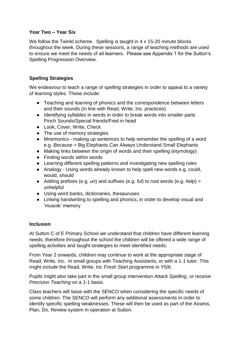#### **Year Two – Year Six**

We follow the Twinkl scheme. Spelling is taught in 4 x 15-20 minute blocks throughout the week. During these sessions, a range of teaching methods are used to ensure we meet the needs of all learners. Please see Appendix 1 for the Sutton's Spelling Progression Overview.

# **Spelling Strategies**

We endeavour to teach a range of spelling strategies in order to appeal to a variety of learning styles. These include:

- Teaching and learning of phonics and the correspondence between letters and their sounds (in line with Read, Write, Inc. practices)
- Identifying syllables in words in order to break words into smaller parts Pinch Sounds/Special friends/Fred in head
- Look, Cover, Write, Check
- The use of memory strategies
- Mnemonics making up sentences to help remember the spelling of a word e.g. *Because =* Big Elephants Can Always Understand Small Elephants
- Making links between the origin of words and their spelling (etymology)
- Finding words within words
- Learning different spelling patterns and investigating new spelling rules
- Analogy Using words already known to help spell new words e.g. could, would, should
- Adding prefixes (e.g. *un*) and suffixes (e.g. *ful*) to root words (e.g. *help*) = unhelpful
- Using word banks, dictionaries, thesauruses
- Linking handwriting to spelling and phonics, in order to develop visual and 'muscle' memory

### **Inclusion**

At Sutton C of E Primary School we understand that children have different learning needs, therefore throughout the school the children will be offered a wide range of spelling activities and taught strategies to meet identified needs.

From Year 2 onwards, children may continue to work at the appropriate stage of Read, Write, Inc. in small groups with Teaching Assistants, or with a 1-1 tutor. This might include the Read, Write, Inc *Fresh Start* programme in Y5/6.

Pupils might also take part in the small group intervention *Attack Spelling¸* or receive *Precision Teaching* on a 1-1 basis.

Class teachers will liaise with the SENCO when considering the specific needs of some children. The SENCO will perform any additional assessments in order to identify specific spelling weaknesses. These will then be used as part of the Assess, Plan, Do, Review system in operation at Sutton.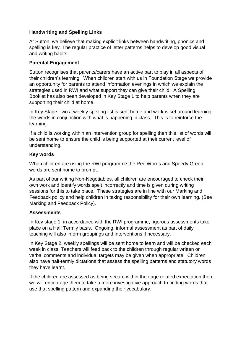# **Handwriting and Spelling Links**

At Sutton, we believe that making explicit links between handwriting, phonics and spelling is key. The regular practice of letter patterns helps to develop good visual and writing habits.

# **Parental Engagement**

Sutton recognises that parents/carers have an active part to play in all aspects of their children's learning. When children start with us in Foundation Stage we provide an opportunity for parents to attend information evenings in which we explain the strategies used in RWI and what support they can give their child. A Spelling Booklet has also been developed in Key Stage 1 to help parents when they are supporting their child at home.

In Key Stage Two a weekly spelling list is sent home and work is set around learning the words in conjunction with what is happening in class. This is to reinforce the learning.

If a child is working within an intervention group for spelling then this list of words will be sent home to ensure the child is being supported at their current level of understanding.

# **Key words**

When children are using the RWI programme the Red Words and Speedy Green words are sent home to prompt.

As part of our writing Non-Negotiables, all children are encouraged to check their own work and identify words spelt incorrectly and time is given during writing sessions for this to take place. These strategies are in line with our Marking and Feedback policy and help children in taking responsibility for their own learning. (See Marking and Feedback Policy).

### **Assessments**

In Key stage 1, in accordance with the RWI programme, rigorous assessments take place on a Half Termly basis. Ongoing, informal assessment as part of daily teaching will also inform groupings and interventions if necessary.

In Key Stage 2, weekly spellings will be sent home to learn and will be checked each week in class. Teachers will feed back to the children through regular written or verbal comments and individual targets may be given when appropriate. Children also have half-termly dictations that assess the spelling patterns and statutory words they have learnt.

If the children are assessed as being secure within their age related expectation then we will encourage them to take a more investigative approach to finding words that use that spelling pattern and expanding their vocabulary.